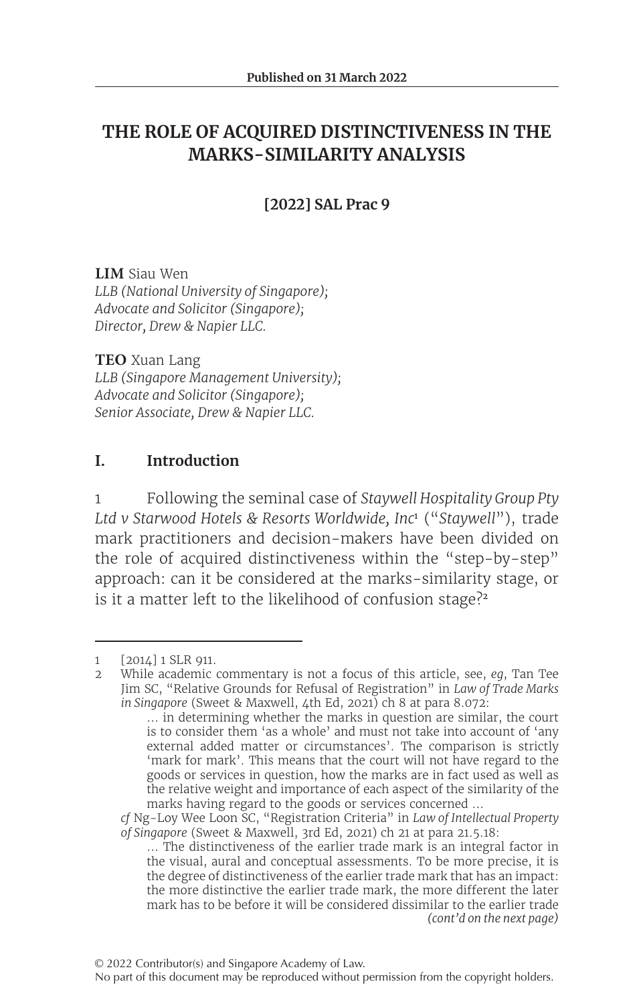# **THE ROLE OF ACQUIRED DISTINCTIVENESS IN THE MARKS-SIMILARITY ANALYSIS**

### **[2022] SAL Prac 9**

**LIM** Siau Wen *LLB (National University of Singapore); Advocate and Solicitor (Singapore); Director, Drew & Napier LLC.*

**TEO** Xuan Lang *LLB (Singapore Management University); Advocate and Solicitor (Singapore); Senior Associate, Drew & Napier LLC.*

### **I. Introduction**

1 Following the seminal case of *Staywell Hospitality Group Pty Ltd v Starwood Hotels & Resorts Worldwide, Inc*<sup>1</sup> ("*Staywell*"), trade mark practitioners and decision-makers have been divided on the role of acquired distinctiveness within the "step-by-step" approach: can it be considered at the marks-similarity stage, or is it a matter left to the likelihood of confusion stage?<sup>2</sup>

*cf* Ng-Loy Wee Loon SC, "Registration Criteria" in *Law of Intellectual Property of Singapore* (Sweet & Maxwell, 3rd Ed, 2021) ch 21 at para 21.5.18:

<sup>1 [2014] 1</sup> SLR 911.<br>2 While academic of

<sup>2</sup> While academic commentary is not a focus of this article, see, *eg*, Tan Tee Jim SC, "Relative Grounds for Refusal of Registration" in *Law of Trade Marks in Singapore* (Sweet & Maxwell, 4th Ed, 2021) ch 8 at para 8.072:

<sup>…</sup> in determining whether the marks in question are similar, the court is to consider them 'as a whole' and must not take into account of 'any external added matter or circumstances'. The comparison is strictly 'mark for mark'. This means that the court will not have regard to the goods or services in question, how the marks are in fact used as well as the relative weight and importance of each aspect of the similarity of the marks having regard to the goods or services concerned …

*<sup>(</sup>cont'd on the next page)* … The distinctiveness of the earlier trade mark is an integral factor in the visual, aural and conceptual assessments. To be more precise, it is the degree of distinctiveness of the earlier trade mark that has an impact: the more distinctive the earlier trade mark, the more different the later mark has to be before it will be considered dissimilar to the earlier trade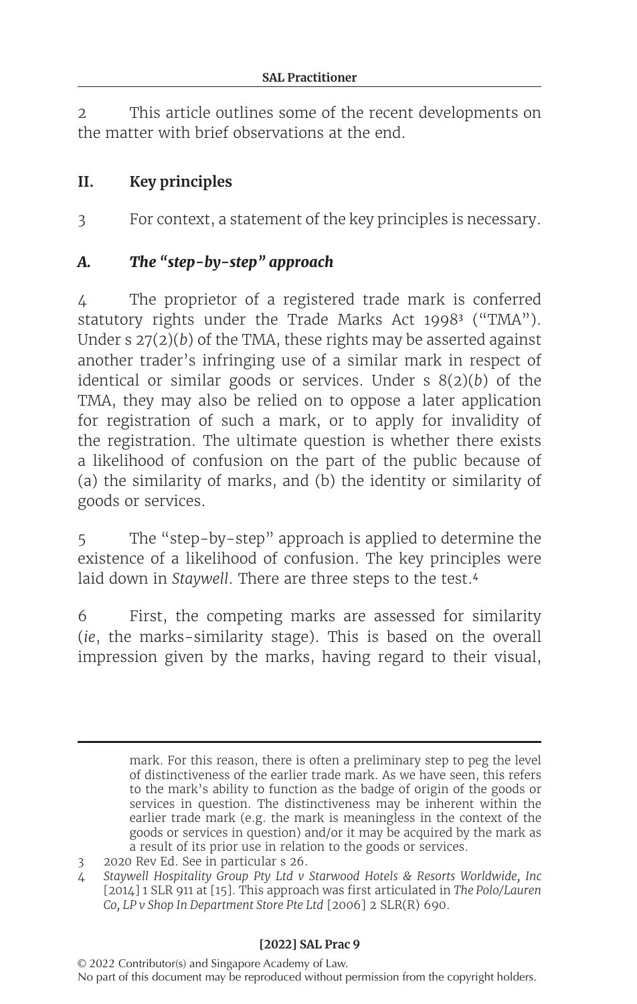2 This article outlines some of the recent developments on the matter with brief observations at the end.

### **II. Key principles**

3 For context, a statement of the key principles is necessary.

### *A. The "step-by-step" approach*

4 The proprietor of a registered trade mark is conferred statutory rights under the Trade Marks Act 1998<sup>3</sup> ("TMA"). Under s 27(2)(*b*) of the TMA, these rights may be asserted against another trader's infringing use of a similar mark in respect of identical or similar goods or services. Under s 8(2)(*b*) of the TMA, they may also be relied on to oppose a later application for registration of such a mark, or to apply for invalidity of the registration. The ultimate question is whether there exists a likelihood of confusion on the part of the public because of (a) the similarity of marks, and (b) the identity or similarity of goods or services.

5 The "step-by-step" approach is applied to determine the existence of a likelihood of confusion. The key principles were laid down in *Staywell*. There are three steps to the test.<sup>4</sup>

6 First, the competing marks are assessed for similarity (*ie*, the marks-similarity stage). This is based on the overall impression given by the marks, having regard to their visual,

mark. For this reason, there is often a preliminary step to peg the level of distinctiveness of the earlier trade mark. As we have seen, this refers to the mark's ability to function as the badge of origin of the goods or services in question. The distinctiveness may be inherent within the earlier trade mark (e.g. the mark is meaningless in the context of the goods or services in question) and/or it may be acquired by the mark as a result of its prior use in relation to the goods or services.

<sup>3</sup> 2020 Rev Ed. See in particular s 26.

<sup>4</sup> *Staywell Hospitality Group Pty Ltd v Starwood Hotels & Resorts Worldwide, Inc* [2014] 1 SLR 911 at [15]. This approach was first articulated in *The Polo/Lauren Co, LP v Shop In Department Store Pte Ltd* [2006] 2 SLR(R) 690.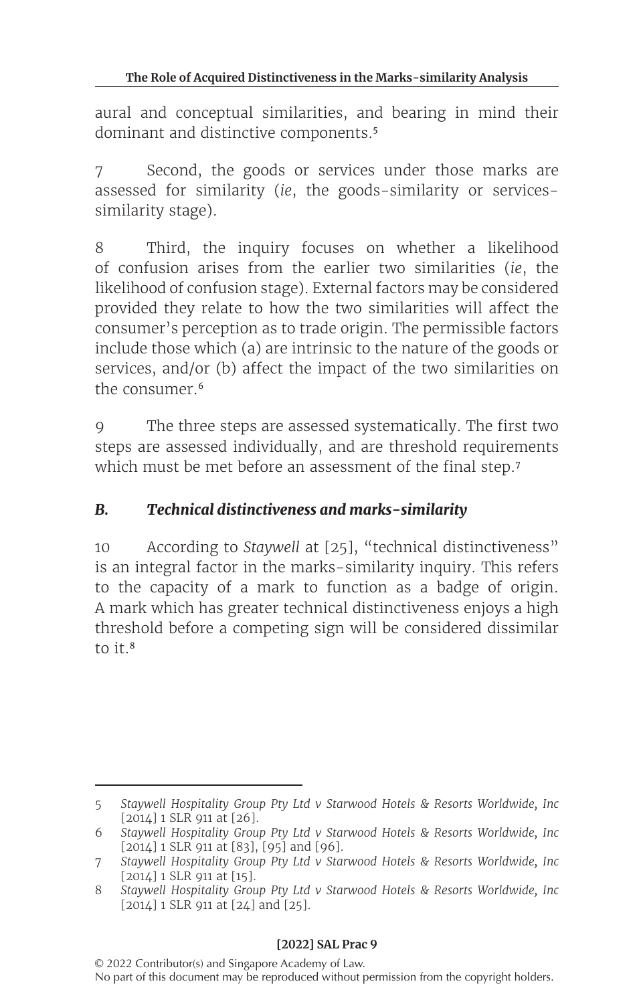aural and conceptual similarities, and bearing in mind their dominant and distinctive components.<sup>5</sup>

7 Second, the goods or services under those marks are assessed for similarity (*ie*, the goods-similarity or servicessimilarity stage).

8 Third, the inquiry focuses on whether a likelihood of confusion arises from the earlier two similarities (*ie*, the likelihood of confusion stage). External factors may be considered provided they relate to how the two similarities will affect the consumer's perception as to trade origin. The permissible factors include those which (a) are intrinsic to the nature of the goods or services, and/or (b) affect the impact of the two similarities on the consumer.<sup>6</sup>

9 The three steps are assessed systematically. The first two steps are assessed individually, and are threshold requirements which must be met before an assessment of the final step.<sup>7</sup>

## *B. Technical distinctiveness and marks-similarity*

10 According to *Staywell* at [25], "technical distinctiveness" is an integral factor in the marks-similarity inquiry. This refers to the capacity of a mark to function as a badge of origin. A mark which has greater technical distinctiveness enjoys a high threshold before a competing sign will be considered dissimilar to it. $8$ 

<sup>5</sup> *Staywell Hospitality Group Pty Ltd v Starwood Hotels & Resorts Worldwide, Inc* [2014] 1 SLR 911 at [26].

<sup>6</sup> *Staywell Hospitality Group Pty Ltd v Starwood Hotels & Resorts Worldwide, Inc* [2014] 1 SLR 911 at [83], [95] and [96].

<sup>7</sup> *Staywell Hospitality Group Pty Ltd v Starwood Hotels & Resorts Worldwide, Inc* [2014] 1 SLR 911 at [15].

<sup>8</sup> *Staywell Hospitality Group Pty Ltd v Starwood Hotels & Resorts Worldwide, Inc* [2014] 1 SLR 911 at [24] and [25].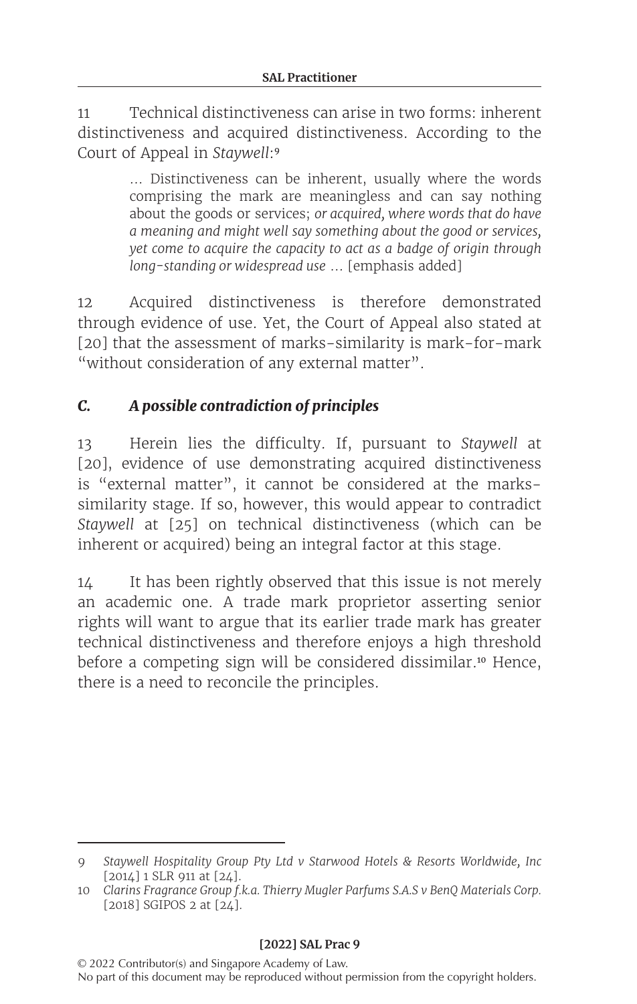11 Technical distinctiveness can arise in two forms: inherent distinctiveness and acquired distinctiveness. According to the Court of Appeal in *Staywell*:<sup>9</sup>

> … Distinctiveness can be inherent, usually where the words comprising the mark are meaningless and can say nothing about the goods or services; *or acquired, where words that do have a meaning and might well say something about the good or services, yet come to acquire the capacity to act as a badge of origin through long-standing or widespread use* … [emphasis added]

12 Acquired distinctiveness is therefore demonstrated through evidence of use. Yet, the Court of Appeal also stated at [20] that the assessment of marks-similarity is mark-for-mark "without consideration of any external matter".

## *C. A possible contradiction of principles*

13 Herein lies the difficulty. If, pursuant to *Staywell* at [20], evidence of use demonstrating acquired distinctiveness is "external matter", it cannot be considered at the markssimilarity stage. If so, however, this would appear to contradict *Staywell* at [25] on technical distinctiveness (which can be inherent or acquired) being an integral factor at this stage.

14 It has been rightly observed that this issue is not merely an academic one. A trade mark proprietor asserting senior rights will want to argue that its earlier trade mark has greater technical distinctiveness and therefore enjoys a high threshold before a competing sign will be considered dissimilar.<sup>10</sup> Hence, there is a need to reconcile the principles.

<sup>9</sup> *Staywell Hospitality Group Pty Ltd v Starwood Hotels & Resorts Worldwide, Inc* [2014] 1 SLR 911 at [24].

<sup>10</sup> *Clarins Fragrance Group f.k.a. Thierry Mugler Parfums S.A.S v BenQ Materials Corp.* [2018] SGIPOS 2 at [24].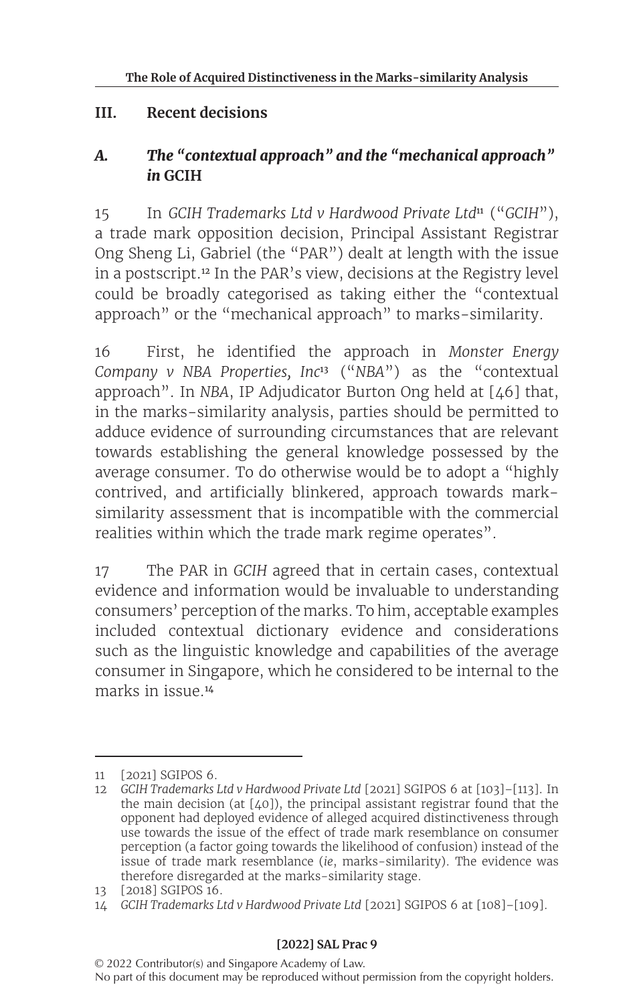### **III. Recent decisions**

### *A. The "contextual approach" and the "mechanical approach" in* **GCIH**

15 In *GCIH Trademarks Ltd v Hardwood Private Ltd*<sup>11</sup> ("*GCIH*"), a trade mark opposition decision, Principal Assistant Registrar Ong Sheng Li, Gabriel (the "PAR") dealt at length with the issue in a postscript.<sup>12</sup> In the PAR's view, decisions at the Registry level could be broadly categorised as taking either the "contextual approach" or the "mechanical approach" to marks-similarity.

16 First, he identified the approach in *Monster Energy Company v NBA Properties, Inc*<sup>13</sup> ("*NBA*") as the "contextual approach". In *NBA*, IP Adjudicator Burton Ong held at [46] that, in the marks-similarity analysis, parties should be permitted to adduce evidence of surrounding circumstances that are relevant towards establishing the general knowledge possessed by the average consumer. To do otherwise would be to adopt a "highly contrived, and artificially blinkered, approach towards marksimilarity assessment that is incompatible with the commercial realities within which the trade mark regime operates".

17 The PAR in *GCIH* agreed that in certain cases, contextual evidence and information would be invaluable to understanding consumers' perception of the marks. To him, acceptable examples included contextual dictionary evidence and considerations such as the linguistic knowledge and capabilities of the average consumer in Singapore, which he considered to be internal to the marks in issue <sup>14</sup>

<sup>11</sup> [2021] SGIPOS 6.

<sup>12</sup> *GCIH Trademarks Ltd v Hardwood Private Ltd* [2021] SGIPOS 6 at [103]–[113]. In the main decision (at [40]), the principal assistant registrar found that the opponent had deployed evidence of alleged acquired distinctiveness through use towards the issue of the effect of trade mark resemblance on consumer perception (a factor going towards the likelihood of confusion) instead of the issue of trade mark resemblance (*ie*, marks-similarity). The evidence was therefore disregarded at the marks-similarity stage.

<sup>13</sup> [2018] SGIPOS 16.

<sup>14</sup> *GCIH Trademarks Ltd v Hardwood Private Ltd* [2021] SGIPOS 6 at [108]–[109].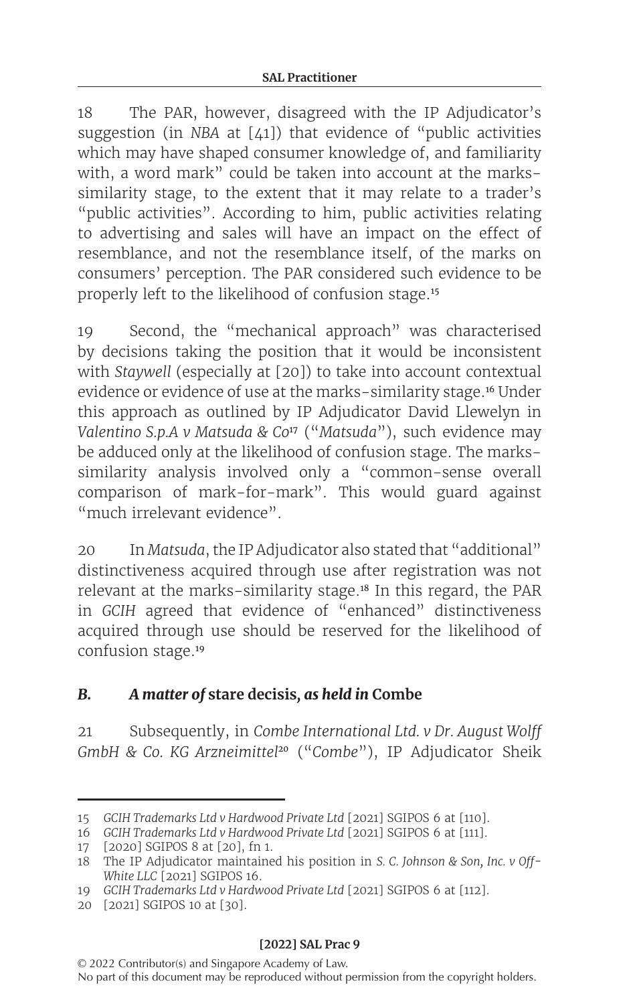18 The PAR, however, disagreed with the IP Adjudicator's suggestion (in *NBA* at [41]) that evidence of "public activities which may have shaped consumer knowledge of, and familiarity with, a word mark" could be taken into account at the markssimilarity stage, to the extent that it may relate to a trader's "public activities". According to him, public activities relating to advertising and sales will have an impact on the effect of resemblance, and not the resemblance itself, of the marks on consumers' perception. The PAR considered such evidence to be properly left to the likelihood of confusion stage.<sup>15</sup>

19 Second, the "mechanical approach" was characterised by decisions taking the position that it would be inconsistent with *Staywell* (especially at [20]) to take into account contextual evidence or evidence of use at the marks-similarity stage.<sup>16</sup> Under this approach as outlined by IP Adjudicator David Llewelyn in *Valentino S.p.A v Matsuda & Co*<sup>17</sup> ("*Matsuda*"), such evidence may be adduced only at the likelihood of confusion stage. The markssimilarity analysis involved only a "common-sense overall comparison of mark-for-mark". This would guard against "much irrelevant evidence".

20 In *Matsuda*, the IP Adjudicator also stated that "additional" distinctiveness acquired through use after registration was not relevant at the marks-similarity stage.<sup>18</sup> In this regard, the PAR in *GCIH* agreed that evidence of "enhanced" distinctiveness acquired through use should be reserved for the likelihood of confusion stage.<sup>19</sup>

### *B. A matter of* **stare decisis***, as held in* **Combe**

21 Subsequently, in *Combe International Ltd. v Dr. August Wolff GmbH & Co. KG Arzneimittel*<sup>20</sup> ("*Combe*"), IP Adjudicator Sheik

<sup>15</sup> *GCIH Trademarks Ltd v Hardwood Private Ltd* [2021] SGIPOS 6 at [110].

<sup>16</sup> *GCIH Trademarks Ltd v Hardwood Private Ltd* [2021] SGIPOS 6 at [111].

<sup>17</sup> [2020] SGIPOS 8 at [20], fn 1.

<sup>18</sup> The IP Adjudicator maintained his position in *S. C. Johnson & Son, Inc. v Off-White LLC* [2021] SGIPOS 16.

<sup>19</sup> *GCIH Trademarks Ltd v Hardwood Private Ltd* [2021] SGIPOS 6 at [112].

<sup>20</sup> [2021] SGIPOS 10 at [30].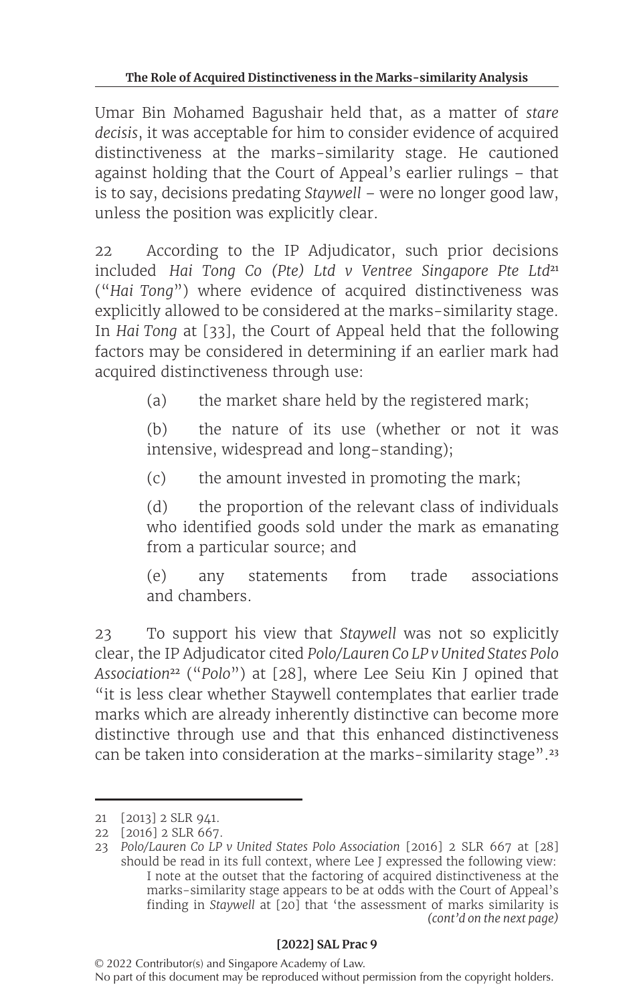Umar Bin Mohamed Bagushair held that, as a matter of *stare decisis*, it was acceptable for him to consider evidence of acquired distinctiveness at the marks-similarity stage. He cautioned against holding that the Court of Appeal's earlier rulings – that is to say, decisions predating *Staywell* – were no longer good law, unless the position was explicitly clear.

22 According to the IP Adjudicator, such prior decisions included *Hai Tong Co (Pte)* Ltd v Ventree Singapore Pte Ltd<sup>21</sup> ("*Hai Tong*") where evidence of acquired distinctiveness was explicitly allowed to be considered at the marks-similarity stage. In *Hai Tong* at [33], the Court of Appeal held that the following factors may be considered in determining if an earlier mark had acquired distinctiveness through use:

(a) the market share held by the registered mark;

(b) the nature of its use (whether or not it was intensive, widespread and long-standing);

(c) the amount invested in promoting the mark;

(d) the proportion of the relevant class of individuals who identified goods sold under the mark as emanating from a particular source; and

(e) any statements from trade associations and chambers.

23 To support his view that *Staywell* was not so explicitly clear, the IP Adjudicator cited *Polo/Lauren Co LP v United States Polo Association*<sup>22</sup> ("*Polo*") at [28], where Lee Seiu Kin J opined that "it is less clear whether Staywell contemplates that earlier trade marks which are already inherently distinctive can become more distinctive through use and that this enhanced distinctiveness can be taken into consideration at the marks-similarity stage".<sup>23</sup>

<sup>21</sup> [2013] 2 SLR 941.

<sup>22</sup> [2016] 2 SLR 667.

<sup>23</sup> *Polo/Lauren Co LP v United States Polo Association* [2016] 2 SLR 667 at [28] should be read in its full context, where Lee J expressed the following view: I note at the outset that the factoring of acquired distinctiveness at the marks-similarity stage appears to be at odds with the Court of Appeal's finding in *Staywell* at [20] that 'the assessment of marks similarity is *(cont'd on the next page)*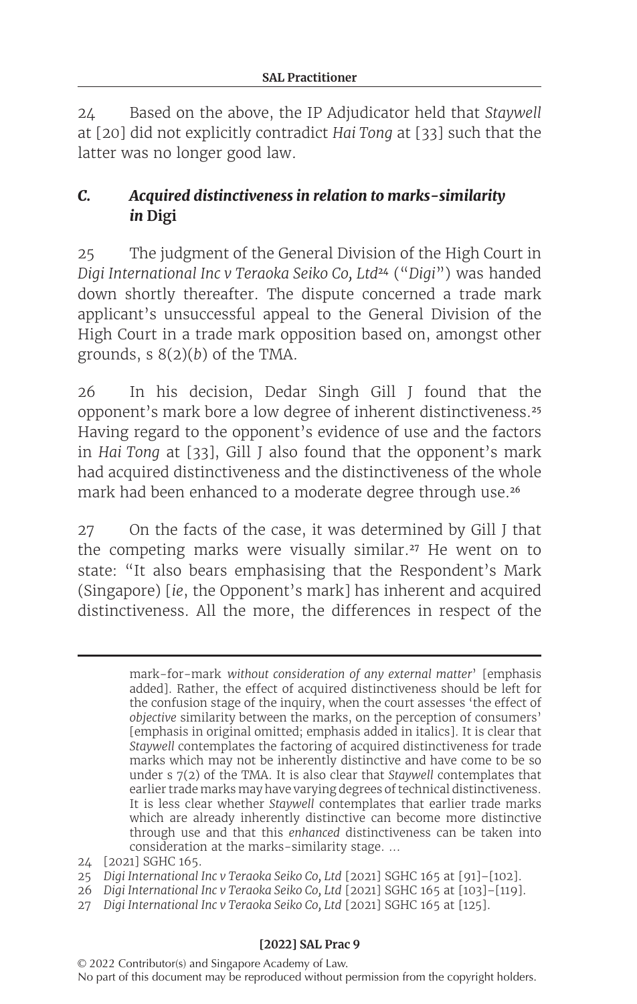24 Based on the above, the IP Adjudicator held that *Staywell* at [20] did not explicitly contradict *Hai Tong* at [33] such that the latter was no longer good law.

## *C. Acquired distinctiveness in relation to marks-similarity in* **Digi**

25 The judgment of the General Division of the High Court in *Digi International Inc v Teraoka Seiko Co, Ltd*<sup>24</sup> ("*Digi*") was handed down shortly thereafter. The dispute concerned a trade mark applicant's unsuccessful appeal to the General Division of the High Court in a trade mark opposition based on, amongst other grounds, s 8(2)(*b*) of the TMA.

26 In his decision, Dedar Singh Gill J found that the opponent's mark bore a low degree of inherent distinctiveness.<sup>25</sup> Having regard to the opponent's evidence of use and the factors in *Hai Tong* at [33], Gill J also found that the opponent's mark had acquired distinctiveness and the distinctiveness of the whole mark had been enhanced to a moderate degree through use.<sup>26</sup>

27 On the facts of the case, it was determined by Gill J that the competing marks were visually similar.<sup>27</sup> He went on to state: "It also bears emphasising that the Respondent's Mark (Singapore) [*ie*, the Opponent's mark] has inherent and acquired distinctiveness. All the more, the differences in respect of the

> mark-for-mark *without consideration of any external matter*' [emphasis added]. Rather, the effect of acquired distinctiveness should be left for the confusion stage of the inquiry, when the court assesses 'the effect of *objective* similarity between the marks, on the perception of consumers' [emphasis in original omitted; emphasis added in italics]. It is clear that *Staywell* contemplates the factoring of acquired distinctiveness for trade marks which may not be inherently distinctive and have come to be so under s 7(2) of the TMA. It is also clear that *Staywell* contemplates that earlier trade marks may have varying degrees of technical distinctiveness. It is less clear whether *Staywell* contemplates that earlier trade marks which are already inherently distinctive can become more distinctive through use and that this *enhanced* distinctiveness can be taken into consideration at the marks-similarity stage. ...

- 26 *Digi International Inc v Teraoka Seiko Co, Ltd* [2021] SGHC 165 at [103]–[119].
- 27 *Digi International Inc v Teraoka Seiko Co, Ltd* [2021] SGHC 165 at [125].

<sup>24</sup> [2021] SGHC 165.

<sup>25</sup> *Digi International Inc v Teraoka Seiko Co, Ltd* [2021] SGHC 165 at [91]–[102].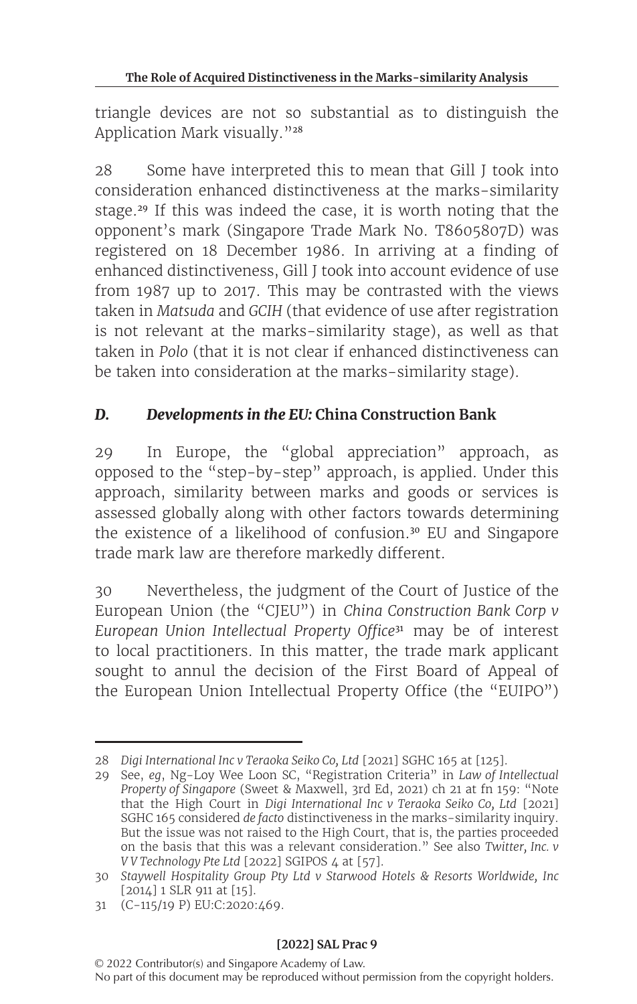triangle devices are not so substantial as to distinguish the Application Mark visually."28

28 Some have interpreted this to mean that Gill J took into consideration enhanced distinctiveness at the marks-similarity stage.<sup>29</sup> If this was indeed the case, it is worth noting that the opponent's mark (Singapore Trade Mark No. T8605807D) was registered on 18 December 1986. In arriving at a finding of enhanced distinctiveness, Gill J took into account evidence of use from 1987 up to 2017. This may be contrasted with the views taken in *Matsuda* and *GCIH* (that evidence of use after registration is not relevant at the marks-similarity stage), as well as that taken in *Polo* (that it is not clear if enhanced distinctiveness can be taken into consideration at the marks-similarity stage).

# *D. Developments in the EU:* **China Construction Bank**

29 In Europe, the "global appreciation" approach, as opposed to the "step-by-step" approach, is applied. Under this approach, similarity between marks and goods or services is assessed globally along with other factors towards determining the existence of a likelihood of confusion.<sup>30</sup> EU and Singapore trade mark law are therefore markedly different.

30 Nevertheless, the judgment of the Court of Justice of the European Union (the "CJEU") in *China Construction Bank Corp v European Union Intellectual Property Office*<sup>31</sup> may be of interest to local practitioners. In this matter, the trade mark applicant sought to annul the decision of the First Board of Appeal of the European Union Intellectual Property Office (the "EUIPO")

<sup>28</sup> *Digi International Inc v Teraoka Seiko Co, Ltd* [2021] SGHC 165 at [125].

<sup>29</sup> See, *eg*, Ng-Loy Wee Loon SC, "Registration Criteria" in *Law of Intellectual Property of Singapore* (Sweet & Maxwell, 3rd Ed, 2021) ch 21 at fn 159: "Note that the High Court in *Digi International Inc v Teraoka Seiko Co, Ltd* [2021] SGHC 165 considered *de facto* distinctiveness in the marks-similarity inquiry. But the issue was not raised to the High Court, that is, the parties proceeded on the basis that this was a relevant consideration." See also *Twitter, Inc. v V V Technology Pte Ltd* [2022] SGIPOS 4 at [57].

<sup>30</sup> *Staywell Hospitality Group Pty Ltd v Starwood Hotels & Resorts Worldwide, Inc* [2014] 1 SLR 911 at [15].

<sup>31</sup> (C-115/19 P) EU:C:2020:469.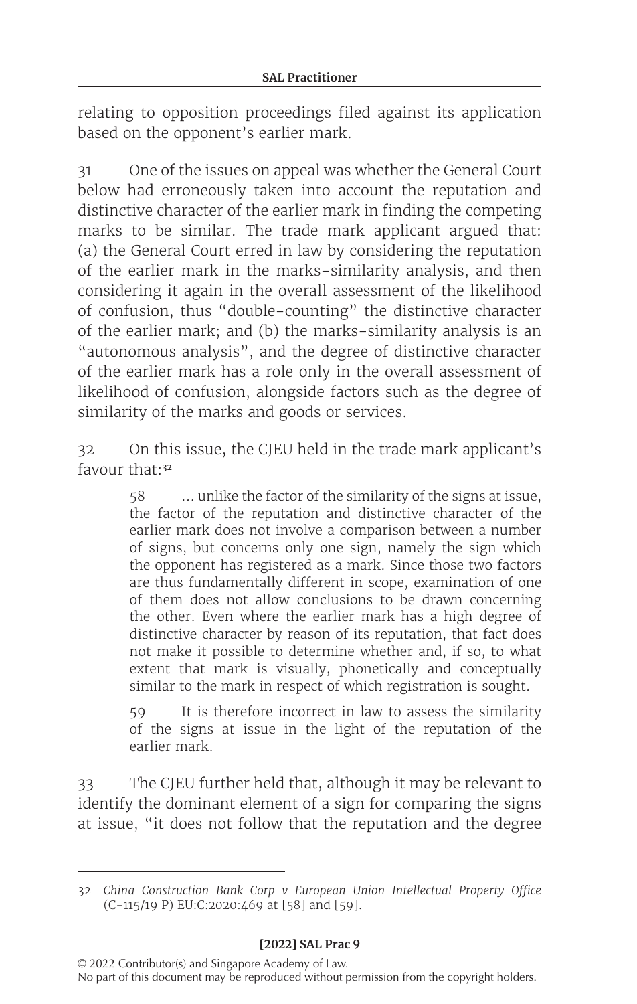relating to opposition proceedings filed against its application based on the opponent's earlier mark.

31 One of the issues on appeal was whether the General Court below had erroneously taken into account the reputation and distinctive character of the earlier mark in finding the competing marks to be similar. The trade mark applicant argued that: (a) the General Court erred in law by considering the reputation of the earlier mark in the marks-similarity analysis, and then considering it again in the overall assessment of the likelihood of confusion, thus "double-counting" the distinctive character of the earlier mark; and (b) the marks-similarity analysis is an "autonomous analysis", and the degree of distinctive character of the earlier mark has a role only in the overall assessment of likelihood of confusion, alongside factors such as the degree of similarity of the marks and goods or services.

32 On this issue, the CJEU held in the trade mark applicant's favour that:<sup>32</sup>

> 58 … unlike the factor of the similarity of the signs at issue, the factor of the reputation and distinctive character of the earlier mark does not involve a comparison between a number of signs, but concerns only one sign, namely the sign which the opponent has registered as a mark. Since those two factors are thus fundamentally different in scope, examination of one of them does not allow conclusions to be drawn concerning the other. Even where the earlier mark has a high degree of distinctive character by reason of its reputation, that fact does not make it possible to determine whether and, if so, to what extent that mark is visually, phonetically and conceptually similar to the mark in respect of which registration is sought.

> It is therefore incorrect in law to assess the similarity of the signs at issue in the light of the reputation of the earlier mark.

33 The CJEU further held that, although it may be relevant to identify the dominant element of a sign for comparing the signs at issue, "it does not follow that the reputation and the degree

<sup>32</sup> *China Construction Bank Corp v European Union Intellectual Property Office* (C‑115/19 P) EU:C:2020:469 at [58] and [59].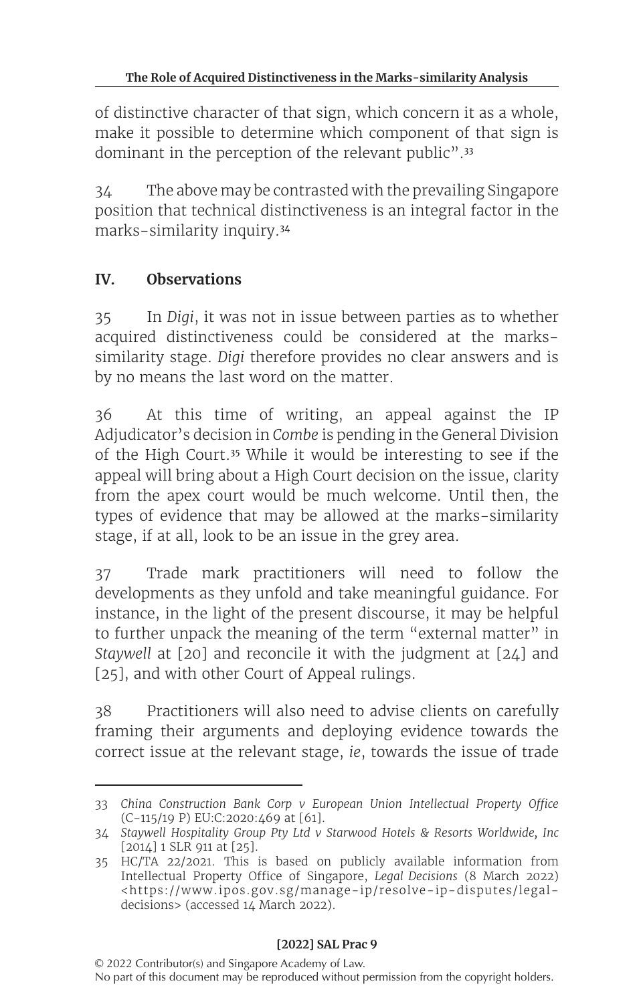of distinctive character of that sign, which concern it as a whole, make it possible to determine which component of that sign is dominant in the perception of the relevant public".<sup>33</sup>

34 The above may be contrasted with the prevailing Singapore position that technical distinctiveness is an integral factor in the marks-similarity inquiry.<sup>34</sup>

### **IV. Observations**

35 In *Digi*, it was not in issue between parties as to whether acquired distinctiveness could be considered at the markssimilarity stage. *Digi* therefore provides no clear answers and is by no means the last word on the matter.

36 At this time of writing, an appeal against the IP Adjudicator's decision in *Combe* is pending in the General Division of the High Court.<sup>35</sup> While it would be interesting to see if the appeal will bring about a High Court decision on the issue, clarity from the apex court would be much welcome. Until then, the types of evidence that may be allowed at the marks-similarity stage, if at all, look to be an issue in the grey area.

37 Trade mark practitioners will need to follow the developments as they unfold and take meaningful guidance. For instance, in the light of the present discourse, it may be helpful to further unpack the meaning of the term "external matter" in *Staywell* at [20] and reconcile it with the judgment at [24] and [25], and with other Court of Appeal rulings.

38 Practitioners will also need to advise clients on carefully framing their arguments and deploying evidence towards the correct issue at the relevant stage, *ie*, towards the issue of trade

<sup>33</sup> *China Construction Bank Corp v European Union Intellectual Property Office* (C‑115/19 P) EU:C:2020:469 at [61].

<sup>34</sup> *Staywell Hospitality Group Pty Ltd v Starwood Hotels & Resorts Worldwide, Inc* [2014] 1 SLR 911 at [25].

<sup>35</sup> HC/TA 22/2021. This is based on publicly available information from Intellectual Property Office of Singapore, *Legal Decisions* (8 March 2022) <https://www.ipos.gov.sg/manage-ip/resolve-ip-disputes/legaldecisions> (accessed 14 March 2022).